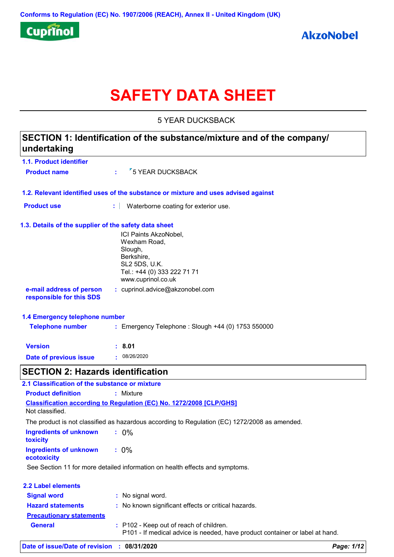

# **SAFETY DATA SHEET**

5 YEAR DUCKSBACK

## **1.1. Product identifier 1.3. Details of the supplier of the safety data sheet 1.2. Relevant identified uses of the substance or mixture and uses advised against SECTION 1: Identification of the substance/mixture and of the company/ undertaking Date of previous issue :** 08/26/2020 ICI Paints AkzoNobel, Wexham Road, Slough, Berkshire, SL2 5DS, U.K. Tel.: +44 (0) 333 222 71 71 www.cuprinol.co.uk **e-mail address of person responsible for this SDS :** cuprinol.advice@akzonobel.com **1.4 Emergency telephone number Version : 8.01 Product name**  $\frac{1}{2}$  **5 YEAR DUCKSBACK Product use <b>:** Waterborne coating for exterior use. **Telephone number :** Emergency Telephone : Slough +44 (0) 1753 550000 **SECTION 2: Hazards identification Ingredients of unknown toxicity :** 0% **Ingredients of unknown ecotoxicity :** 0% **Classification according to Regulation (EC) No. 1272/2008 [CLP/GHS] 2.1 Classification of the substance or mixture Product definition :** Mixture Not classified. The product is not classified as hazardous according to Regulation (EC) 1272/2008 as amended. See Section 11 for more detailed information on health effects and symptoms. **2.2 Label elements Signal word : Hazard statements : Precautionary statements** : No signal word. : No known significant effects or critical hazards.

| <u> vuutiviiti 1 ulutviiluitu</u> |                                                                                                                         |
|-----------------------------------|-------------------------------------------------------------------------------------------------------------------------|
| General                           | : P102 - Keep out of reach of children.<br>P101 - If medical advice is needed, have product container or label at hand. |
|                                   |                                                                                                                         |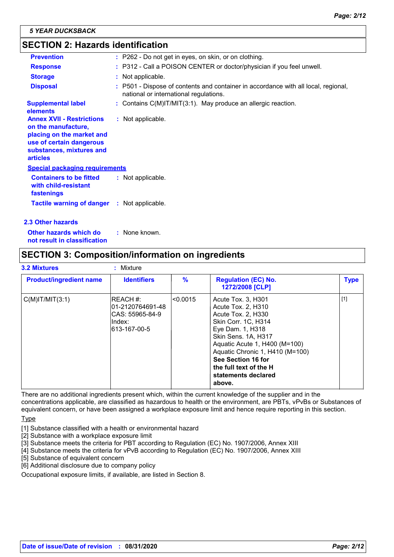## **SECTION 2: Hazards identification**

| <b>Prevention</b>                                                                                                                                               | : P262 - Do not get in eyes, on skin, or on clothing.                                                                        |
|-----------------------------------------------------------------------------------------------------------------------------------------------------------------|------------------------------------------------------------------------------------------------------------------------------|
| <b>Response</b>                                                                                                                                                 | : P312 - Call a POISON CENTER or doctor/physician if you feel unwell.                                                        |
| <b>Storage</b>                                                                                                                                                  | : Not applicable.                                                                                                            |
| <b>Disposal</b>                                                                                                                                                 | : P501 - Dispose of contents and container in accordance with all local, regional,<br>national or international regulations. |
| <b>Supplemental label</b><br><b>elements</b>                                                                                                                    | : Contains $C(M)$ IT/MIT(3:1). May produce an allergic reaction.                                                             |
| <b>Annex XVII - Restrictions</b><br>on the manufacture,<br>placing on the market and<br>use of certain dangerous<br>substances, mixtures and<br><b>articles</b> | : Not applicable.                                                                                                            |
| <b>Special packaging requirements</b>                                                                                                                           |                                                                                                                              |
| <b>Containers to be fitted</b><br>with child-resistant<br>fastenings                                                                                            | : Not applicable.                                                                                                            |
| <b>Tactile warning of danger : Not applicable.</b>                                                                                                              |                                                                                                                              |
| 2.3 Other hazards                                                                                                                                               |                                                                                                                              |

**Other hazards which do : not result in classification** : None known.

## **SECTION 3: Composition/information on ingredients**

| <b>Product/ingredient name</b> | <b>Identifiers</b>                                                                  | $\frac{9}{6}$ | <b>Regulation (EC) No.</b><br>1272/2008 [CLP]                                                                                                                                                                                                                                         | <b>Type</b> |
|--------------------------------|-------------------------------------------------------------------------------------|---------------|---------------------------------------------------------------------------------------------------------------------------------------------------------------------------------------------------------------------------------------------------------------------------------------|-------------|
| $C(M)$ IT/MIT $(3:1)$          | <b>IREACH #:</b><br>01-2120764691-48<br>ICAS: 55965-84-9<br>lIndex:<br>613-167-00-5 | <0.0015       | Acute Tox. 3, H301<br>Acute Tox. 2, H310<br>Acute Tox. 2, H330<br>Skin Corr. 1C, H314<br>Eye Dam. 1, H318<br>Skin Sens. 1A, H317<br>Aquatic Acute 1, H400 (M=100)<br>Aquatic Chronic 1, H410 (M=100)<br>See Section 16 for<br>the full text of the H<br>statements declared<br>above. | $[1]$       |

There are no additional ingredients present which, within the current knowledge of the supplier and in the concentrations applicable, are classified as hazardous to health or the environment, are PBTs, vPvBs or Substances of equivalent concern, or have been assigned a workplace exposure limit and hence require reporting in this section.

Type

- [1] Substance classified with a health or environmental hazard
- [2] Substance with a workplace exposure limit
- [3] Substance meets the criteria for PBT according to Regulation (EC) No. 1907/2006, Annex XIII
- [4] Substance meets the criteria for vPvB according to Regulation (EC) No. 1907/2006, Annex XIII
- [5] Substance of equivalent concern
- [6] Additional disclosure due to company policy

Occupational exposure limits, if available, are listed in Section 8.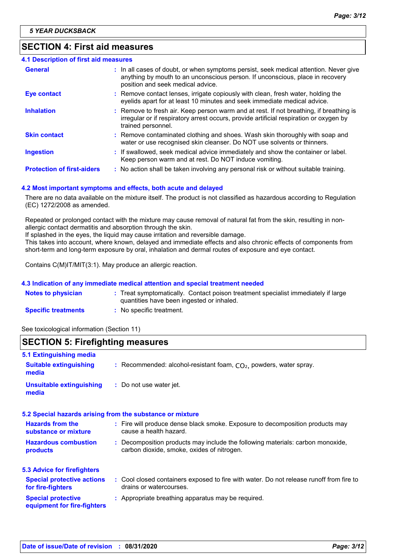## **SECTION 4: First aid measures**

| <b>4.1 Description of first aid measures</b> |                                                                                                                                                                                                             |
|----------------------------------------------|-------------------------------------------------------------------------------------------------------------------------------------------------------------------------------------------------------------|
| <b>General</b>                               | : In all cases of doubt, or when symptoms persist, seek medical attention. Never give<br>anything by mouth to an unconscious person. If unconscious, place in recovery<br>position and seek medical advice. |
| <b>Eye contact</b>                           | : Remove contact lenses, irrigate copiously with clean, fresh water, holding the<br>eyelids apart for at least 10 minutes and seek immediate medical advice.                                                |
| <b>Inhalation</b>                            | : Remove to fresh air. Keep person warm and at rest. If not breathing, if breathing is<br>irregular or if respiratory arrest occurs, provide artificial respiration or oxygen by<br>trained personnel.      |
| <b>Skin contact</b>                          | : Remove contaminated clothing and shoes. Wash skin thoroughly with soap and<br>water or use recognised skin cleanser. Do NOT use solvents or thinners.                                                     |
| <b>Ingestion</b>                             | : If swallowed, seek medical advice immediately and show the container or label.<br>Keep person warm and at rest. Do NOT induce vomiting.                                                                   |
| <b>Protection of first-aiders</b>            | : No action shall be taken involving any personal risk or without suitable training.                                                                                                                        |

#### **4.2 Most important symptoms and effects, both acute and delayed**

There are no data available on the mixture itself. The product is not classified as hazardous according to Regulation (EC) 1272/2008 as amended.

Repeated or prolonged contact with the mixture may cause removal of natural fat from the skin, resulting in nonallergic contact dermatitis and absorption through the skin.

If splashed in the eyes, the liquid may cause irritation and reversible damage.

This takes into account, where known, delayed and immediate effects and also chronic effects of components from short-term and long-term exposure by oral, inhalation and dermal routes of exposure and eye contact.

Contains C(M)IT/MIT(3:1). May produce an allergic reaction.

#### **4.3 Indication of any immediate medical attention and special treatment needed**

| <b>Notes to physician</b>  | Treat symptomatically. Contact poison treatment specialist immediately if large |
|----------------------------|---------------------------------------------------------------------------------|
|                            | quantities have been ingested or inhaled.                                       |
| <b>Specific treatments</b> | No specific treatment.                                                          |

See toxicological information (Section 11)

## **SECTION 5: Firefighting measures**

| 5.1 Extinguishing media                                  |                                                                                                                              |
|----------------------------------------------------------|------------------------------------------------------------------------------------------------------------------------------|
| <b>Suitable extinguishing</b><br>media                   | : Recommended: alcohol-resistant foam, $CO2$ , powders, water spray.                                                         |
| <b>Unsuitable extinguishing</b><br>media                 | : Do not use water jet.                                                                                                      |
|                                                          | 5.2 Special hazards arising from the substance or mixture                                                                    |
| <b>Hazards from the</b><br>substance or mixture          | : Fire will produce dense black smoke. Exposure to decomposition products may<br>cause a health hazard.                      |
| <b>Hazardous combustion</b><br>products                  | : Decomposition products may include the following materials: carbon monoxide,<br>carbon dioxide, smoke, oxides of nitrogen. |
| <b>5.3 Advice for firefighters</b>                       |                                                                                                                              |
| <b>Special protective actions</b><br>for fire-fighters   | : Cool closed containers exposed to fire with water. Do not release runoff from fire to<br>drains or watercourses.           |
| <b>Special protective</b><br>equipment for fire-fighters | : Appropriate breathing apparatus may be required.                                                                           |
|                                                          |                                                                                                                              |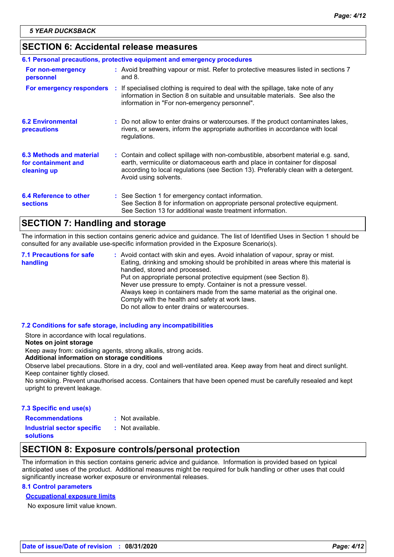## **SECTION 6: Accidental release measures**

| 6.1 Personal precautions, protective equipment and emergency procedures |  |                                                                                                                                                                                                                                                                                    |  |
|-------------------------------------------------------------------------|--|------------------------------------------------------------------------------------------------------------------------------------------------------------------------------------------------------------------------------------------------------------------------------------|--|
| For non-emergency<br>personnel                                          |  | : Avoid breathing vapour or mist. Refer to protective measures listed in sections 7<br>and $8.$                                                                                                                                                                                    |  |
| For emergency responders                                                |  | : If specialised clothing is required to deal with the spillage, take note of any<br>information in Section 8 on suitable and unsuitable materials. See also the<br>information in "For non-emergency personnel".                                                                  |  |
| <b>6.2 Environmental</b><br>precautions                                 |  | : Do not allow to enter drains or watercourses. If the product contaminates lakes,<br>rivers, or sewers, inform the appropriate authorities in accordance with local<br>regulations.                                                                                               |  |
| 6.3 Methods and material<br>for containment and<br>cleaning up          |  | : Contain and collect spillage with non-combustible, absorbent material e.g. sand,<br>earth, vermiculite or diatomaceous earth and place in container for disposal<br>according to local regulations (see Section 13). Preferably clean with a detergent.<br>Avoid using solvents. |  |
| 6.4 Reference to other<br><b>sections</b>                               |  | : See Section 1 for emergency contact information.<br>See Section 8 for information on appropriate personal protective equipment.<br>See Section 13 for additional waste treatment information.                                                                                    |  |

## **SECTION 7: Handling and storage**

The information in this section contains generic advice and guidance. The list of Identified Uses in Section 1 should be consulted for any available use-specific information provided in the Exposure Scenario(s).

Avoid contact with skin and eyes. Avoid inhalation of vapour, spray or mist. **:** Eating, drinking and smoking should be prohibited in areas where this material is handled, stored and processed. Put on appropriate personal protective equipment (see Section 8). Never use pressure to empty. Container is not a pressure vessel. Always keep in containers made from the same material as the original one. Comply with the health and safety at work laws. Do not allow to enter drains or watercourses. **7.1 Precautions for safe handling**

#### **7.2 Conditions for safe storage, including any incompatibilities**

Store in accordance with local regulations.

#### **Notes on joint storage**

Keep away from: oxidising agents, strong alkalis, strong acids.

**Additional information on storage conditions**

Observe label precautions. Store in a dry, cool and well-ventilated area. Keep away from heat and direct sunlight. Keep container tightly closed.

No smoking. Prevent unauthorised access. Containers that have been opened must be carefully resealed and kept upright to prevent leakage.

#### **7.3 Specific end use(s)**

- **Recommendations :**
- : Not available.

**Industrial sector specific : solutions**

- : Not available.
- 

## **SECTION 8: Exposure controls/personal protection**

The information in this section contains generic advice and guidance. Information is provided based on typical anticipated uses of the product. Additional measures might be required for bulk handling or other uses that could significantly increase worker exposure or environmental releases.

#### **8.1 Control parameters**

## **Occupational exposure limits**

No exposure limit value known.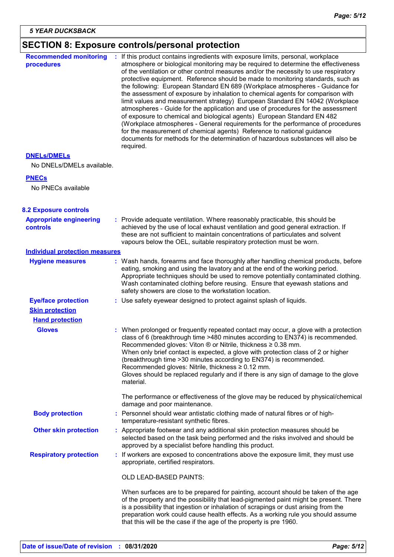## **SECTION 8: Exposure controls/personal protection**

| <b>Recommended monitoring</b><br>procedures       | If this product contains ingredients with exposure limits, personal, workplace<br>atmosphere or biological monitoring may be required to determine the effectiveness<br>of the ventilation or other control measures and/or the necessity to use respiratory<br>protective equipment. Reference should be made to monitoring standards, such as<br>the following: European Standard EN 689 (Workplace atmospheres - Guidance for<br>the assessment of exposure by inhalation to chemical agents for comparison with<br>limit values and measurement strategy) European Standard EN 14042 (Workplace<br>atmospheres - Guide for the application and use of procedures for the assessment<br>of exposure to chemical and biological agents) European Standard EN 482<br>(Workplace atmospheres - General requirements for the performance of procedures<br>for the measurement of chemical agents) Reference to national guidance<br>documents for methods for the determination of hazardous substances will also be<br>required. |
|---------------------------------------------------|----------------------------------------------------------------------------------------------------------------------------------------------------------------------------------------------------------------------------------------------------------------------------------------------------------------------------------------------------------------------------------------------------------------------------------------------------------------------------------------------------------------------------------------------------------------------------------------------------------------------------------------------------------------------------------------------------------------------------------------------------------------------------------------------------------------------------------------------------------------------------------------------------------------------------------------------------------------------------------------------------------------------------------|
| <b>DNELS/DMELS</b>                                |                                                                                                                                                                                                                                                                                                                                                                                                                                                                                                                                                                                                                                                                                                                                                                                                                                                                                                                                                                                                                                  |
| No DNELs/DMELs available.                         |                                                                                                                                                                                                                                                                                                                                                                                                                                                                                                                                                                                                                                                                                                                                                                                                                                                                                                                                                                                                                                  |
| <b>PNECs</b>                                      |                                                                                                                                                                                                                                                                                                                                                                                                                                                                                                                                                                                                                                                                                                                                                                                                                                                                                                                                                                                                                                  |
| No PNECs available                                |                                                                                                                                                                                                                                                                                                                                                                                                                                                                                                                                                                                                                                                                                                                                                                                                                                                                                                                                                                                                                                  |
| <b>8.2 Exposure controls</b>                      |                                                                                                                                                                                                                                                                                                                                                                                                                                                                                                                                                                                                                                                                                                                                                                                                                                                                                                                                                                                                                                  |
| <b>Appropriate engineering</b><br><b>controls</b> | : Provide adequate ventilation. Where reasonably practicable, this should be<br>achieved by the use of local exhaust ventilation and good general extraction. If<br>these are not sufficient to maintain concentrations of particulates and solvent<br>vapours below the OEL, suitable respiratory protection must be worn.                                                                                                                                                                                                                                                                                                                                                                                                                                                                                                                                                                                                                                                                                                      |
| <b>Individual protection measures</b>             |                                                                                                                                                                                                                                                                                                                                                                                                                                                                                                                                                                                                                                                                                                                                                                                                                                                                                                                                                                                                                                  |
| <b>Hygiene measures</b>                           | : Wash hands, forearms and face thoroughly after handling chemical products, before<br>eating, smoking and using the lavatory and at the end of the working period.<br>Appropriate techniques should be used to remove potentially contaminated clothing.<br>Wash contaminated clothing before reusing. Ensure that eyewash stations and<br>safety showers are close to the workstation location.                                                                                                                                                                                                                                                                                                                                                                                                                                                                                                                                                                                                                                |
| <b>Eye/face protection</b>                        | : Use safety eyewear designed to protect against splash of liquids.                                                                                                                                                                                                                                                                                                                                                                                                                                                                                                                                                                                                                                                                                                                                                                                                                                                                                                                                                              |
| <b>Skin protection</b>                            |                                                                                                                                                                                                                                                                                                                                                                                                                                                                                                                                                                                                                                                                                                                                                                                                                                                                                                                                                                                                                                  |
| <b>Hand protection</b>                            |                                                                                                                                                                                                                                                                                                                                                                                                                                                                                                                                                                                                                                                                                                                                                                                                                                                                                                                                                                                                                                  |
| <b>Gloves</b>                                     | : When prolonged or frequently repeated contact may occur, a glove with a protection<br>class of 6 (breakthrough time >480 minutes according to EN374) is recommended.<br>Recommended gloves: Viton $\otimes$ or Nitrile, thickness $\geq 0.38$ mm.<br>When only brief contact is expected, a glove with protection class of 2 or higher<br>(breakthrough time > 30 minutes according to EN374) is recommended.<br>Recommended gloves: Nitrile, thickness ≥ 0.12 mm.<br>Gloves should be replaced regularly and if there is any sign of damage to the glove<br>material.                                                                                                                                                                                                                                                                                                                                                                                                                                                         |
|                                                   | The performance or effectiveness of the glove may be reduced by physical/chemical<br>damage and poor maintenance.                                                                                                                                                                                                                                                                                                                                                                                                                                                                                                                                                                                                                                                                                                                                                                                                                                                                                                                |
| <b>Body protection</b>                            | : Personnel should wear antistatic clothing made of natural fibres or of high-<br>temperature-resistant synthetic fibres.                                                                                                                                                                                                                                                                                                                                                                                                                                                                                                                                                                                                                                                                                                                                                                                                                                                                                                        |
| <b>Other skin protection</b>                      | : Appropriate footwear and any additional skin protection measures should be<br>selected based on the task being performed and the risks involved and should be<br>approved by a specialist before handling this product.                                                                                                                                                                                                                                                                                                                                                                                                                                                                                                                                                                                                                                                                                                                                                                                                        |
| <b>Respiratory protection</b>                     | : If workers are exposed to concentrations above the exposure limit, they must use<br>appropriate, certified respirators.                                                                                                                                                                                                                                                                                                                                                                                                                                                                                                                                                                                                                                                                                                                                                                                                                                                                                                        |
|                                                   | OLD LEAD-BASED PAINTS:                                                                                                                                                                                                                                                                                                                                                                                                                                                                                                                                                                                                                                                                                                                                                                                                                                                                                                                                                                                                           |
|                                                   | When surfaces are to be prepared for painting, account should be taken of the age<br>of the property and the possibility that lead-pigmented paint might be present. There<br>is a possibility that ingestion or inhalation of scrapings or dust arising from the<br>preparation work could cause health effects. As a working rule you should assume<br>that this will be the case if the age of the property is pre 1960.                                                                                                                                                                                                                                                                                                                                                                                                                                                                                                                                                                                                      |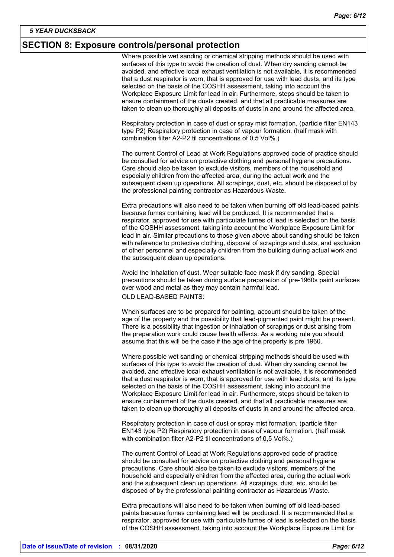#### **SECTION 8: Exposure controls/personal protection**

Where possible wet sanding or chemical stripping methods should be used with surfaces of this type to avoid the creation of dust. When dry sanding cannot be avoided, and effective local exhaust ventilation is not available, it is recommended that a dust respirator is worn, that is approved for use with lead dusts, and its type selected on the basis of the COSHH assessment, taking into account the Workplace Exposure Limit for lead in air. Furthermore, steps should be taken to ensure containment of the dusts created, and that all practicable measures are taken to clean up thoroughly all deposits of dusts in and around the affected area.

Respiratory protection in case of dust or spray mist formation. (particle filter EN143 type P2) Respiratory protection in case of vapour formation. (half mask with combination filter A2-P2 til concentrations of 0,5 Vol%.)

The current Control of Lead at Work Regulations approved code of practice should be consulted for advice on protective clothing and personal hygiene precautions. Care should also be taken to exclude visitors, members of the household and especially children from the affected area, during the actual work and the subsequent clean up operations. All scrapings, dust, etc. should be disposed of by the professional painting contractor as Hazardous Waste.

Extra precautions will also need to be taken when burning off old lead-based paints because fumes containing lead will be produced. It is recommended that a respirator, approved for use with particulate fumes of lead is selected on the basis of the COSHH assessment, taking into account the Workplace Exposure Limit for lead in air. Similar precautions to those given above about sanding should be taken with reference to protective clothing, disposal of scrapings and dusts, and exclusion of other personnel and especially children from the building during actual work and the subsequent clean up operations.

Avoid the inhalation of dust. Wear suitable face mask if dry sanding. Special precautions should be taken during surface preparation of pre-1960s paint surfaces over wood and metal as they may contain harmful lead.

OLD LEAD-BASED PAINTS:

When surfaces are to be prepared for painting, account should be taken of the age of the property and the possibility that lead-pigmented paint might be present. There is a possibility that ingestion or inhalation of scrapings or dust arising from the preparation work could cause health effects. As a working rule you should assume that this will be the case if the age of the property is pre 1960.

Where possible wet sanding or chemical stripping methods should be used with surfaces of this type to avoid the creation of dust. When dry sanding cannot be avoided, and effective local exhaust ventilation is not available, it is recommended that a dust respirator is worn, that is approved for use with lead dusts, and its type selected on the basis of the COSHH assessment, taking into account the Workplace Exposure Limit for lead in air. Furthermore, steps should be taken to ensure containment of the dusts created, and that all practicable measures are taken to clean up thoroughly all deposits of dusts in and around the affected area.

Respiratory protection in case of dust or spray mist formation. (particle filter EN143 type P2) Respiratory protection in case of vapour formation. (half mask with combination filter A2-P2 til concentrations of 0,5 Vol%.)

The current Control of Lead at Work Regulations approved code of practice should be consulted for advice on protective clothing and personal hygiene precautions. Care should also be taken to exclude visitors, members of the household and especially children from the affected area, during the actual work and the subsequent clean up operations. All scrapings, dust, etc. should be disposed of by the professional painting contractor as Hazardous Waste.

Extra precautions will also need to be taken when burning off old lead-based paints because fumes containing lead will be produced. It is recommended that a respirator, approved for use with particulate fumes of lead is selected on the basis of the COSHH assessment, taking into account the Workplace Exposure Limit for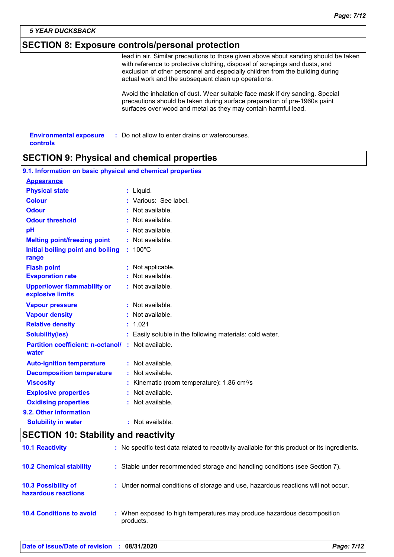#### *5 YEAR DUCKSBACK*

## **SECTION 8: Exposure controls/personal protection**

lead in air. Similar precautions to those given above about sanding should be taken with reference to protective clothing, disposal of scrapings and dusts, and exclusion of other personnel and especially children from the building during actual work and the subsequent clean up operations.

Avoid the inhalation of dust. Wear suitable face mask if dry sanding. Special precautions should be taken during surface preparation of pre-1960s paint surfaces over wood and metal as they may contain harmful lead.

| <b>Environmental exposure</b> | : Do not allow to enter drains or watercourses. |
|-------------------------------|-------------------------------------------------|
| controls                      |                                                 |

## **SECTION 9: Physical and chemical properties**

| 9.1. Information on basic physical and chemical properties        |  |                                                          |  |  |
|-------------------------------------------------------------------|--|----------------------------------------------------------|--|--|
| <b>Appearance</b>                                                 |  |                                                          |  |  |
| <b>Physical state</b>                                             |  | $:$ Liquid.                                              |  |  |
| <b>Colour</b>                                                     |  | : Various: See label.                                    |  |  |
| <b>Odour</b>                                                      |  | Not available.                                           |  |  |
| <b>Odour threshold</b>                                            |  | Not available.                                           |  |  |
| pH                                                                |  | Not available.                                           |  |  |
| <b>Melting point/freezing point</b>                               |  | : Not available.                                         |  |  |
| Initial boiling point and boiling<br>range                        |  | $: 100^{\circ}$ C                                        |  |  |
| <b>Flash point</b>                                                |  | : Not applicable.                                        |  |  |
| <b>Evaporation rate</b>                                           |  | : Not available.                                         |  |  |
| <b>Upper/lower flammability or</b><br>explosive limits            |  | : Not available.                                         |  |  |
| <b>Vapour pressure</b>                                            |  | : Not available.                                         |  |  |
| <b>Vapour density</b>                                             |  | : Not available.                                         |  |  |
| <b>Relative density</b>                                           |  | : 1.021                                                  |  |  |
| <b>Solubility(ies)</b>                                            |  | : Easily soluble in the following materials: cold water. |  |  |
| <b>Partition coefficient: n-octanol/: Not available.</b><br>water |  |                                                          |  |  |
| <b>Auto-ignition temperature</b>                                  |  | : Not available.                                         |  |  |
| <b>Decomposition temperature</b>                                  |  | : Not available.                                         |  |  |
| <b>Viscosity</b>                                                  |  | : Kinematic (room temperature): 1.86 cm <sup>2</sup> /s  |  |  |
| <b>Explosive properties</b>                                       |  | : Not available.                                         |  |  |
| <b>Oxidising properties</b>                                       |  | : Not available.                                         |  |  |
| 9.2. Other information                                            |  |                                                          |  |  |
| <b>Solubility in water</b>                                        |  | : Not available.                                         |  |  |

## **SECTION 10: Stability and reactivity**

| <b>10.1 Reactivity</b>                            | : No specific test data related to reactivity available for this product or its ingredients. |
|---------------------------------------------------|----------------------------------------------------------------------------------------------|
| <b>10.2 Chemical stability</b>                    | : Stable under recommended storage and handling conditions (see Section 7).                  |
| <b>10.3 Possibility of</b><br>hazardous reactions | : Under normal conditions of storage and use, hazardous reactions will not occur.            |
| <b>10.4 Conditions to avoid</b>                   | : When exposed to high temperatures may produce hazardous decomposition<br>products.         |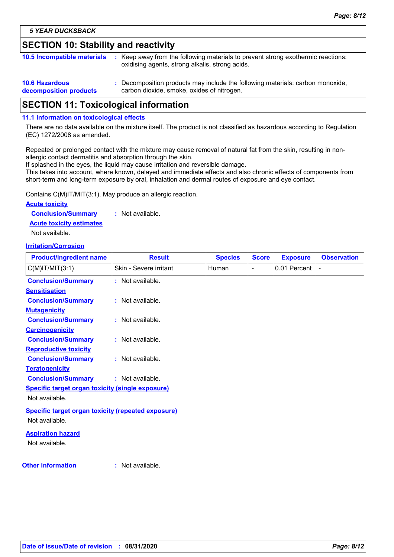## **SECTION 10: Stability and reactivity**

| <b>10.5 Incompatible materials</b>              | : Keep away from the following materials to prevent strong exothermic reactions:<br>oxidising agents, strong alkalis, strong acids. |
|-------------------------------------------------|-------------------------------------------------------------------------------------------------------------------------------------|
| <b>10.6 Hazardous</b><br>decomposition products | : Decomposition products may include the following materials: carbon monoxide,<br>carbon dioxide, smoke, oxides of nitrogen.        |

## **SECTION 11: Toxicological information**

#### **11.1 Information on toxicological effects**

There are no data available on the mixture itself. The product is not classified as hazardous according to Regulation (EC) 1272/2008 as amended.

Repeated or prolonged contact with the mixture may cause removal of natural fat from the skin, resulting in nonallergic contact dermatitis and absorption through the skin.

If splashed in the eyes, the liquid may cause irritation and reversible damage.

This takes into account, where known, delayed and immediate effects and also chronic effects of components from short-term and long-term exposure by oral, inhalation and dermal routes of exposure and eye contact.

Contains C(M)IT/MIT(3:1). May produce an allergic reaction.

#### **Acute toxicity**

**Conclusion/Summary :** Not available.

**Acute toxicity estimates**

Not available.

#### **Irritation/Corrosion**

| <b>Product/ingredient name</b>                            | <b>Result</b>          | <b>Species</b> | <b>Score</b>   | <b>Exposure</b> | <b>Observation</b> |
|-----------------------------------------------------------|------------------------|----------------|----------------|-----------------|--------------------|
| $C(M)$ IT/MIT $(3:1)$                                     | Skin - Severe irritant | Human          | $\blacksquare$ | 0.01 Percent    |                    |
| <b>Conclusion/Summary</b>                                 | : Not available.       |                |                |                 |                    |
| <b>Sensitisation</b>                                      |                        |                |                |                 |                    |
| <b>Conclusion/Summary</b>                                 | : Not available.       |                |                |                 |                    |
| <b>Mutagenicity</b>                                       |                        |                |                |                 |                    |
| <b>Conclusion/Summary</b>                                 | : Not available.       |                |                |                 |                    |
| <b>Carcinogenicity</b>                                    |                        |                |                |                 |                    |
| <b>Conclusion/Summary</b>                                 | : Not available.       |                |                |                 |                    |
| <b>Reproductive toxicity</b>                              |                        |                |                |                 |                    |
| <b>Conclusion/Summary</b>                                 | : Not available.       |                |                |                 |                    |
| <b>Teratogenicity</b>                                     |                        |                |                |                 |                    |
| <b>Conclusion/Summary</b>                                 | : Not available.       |                |                |                 |                    |
| <b>Specific target organ toxicity (single exposure)</b>   |                        |                |                |                 |                    |
| Not available.                                            |                        |                |                |                 |                    |
| <b>Specific target organ toxicity (repeated exposure)</b> |                        |                |                |                 |                    |
| Not available.                                            |                        |                |                |                 |                    |
| <b>Aspiration hazard</b>                                  |                        |                |                |                 |                    |
| Not available.                                            |                        |                |                |                 |                    |
| <b>Other information</b>                                  | : Not available.       |                |                |                 |                    |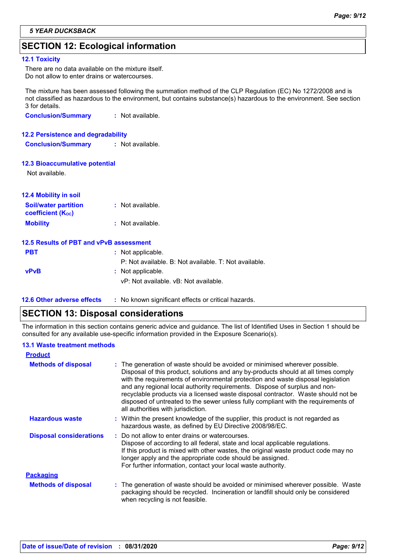## **SECTION 12: Ecological information**

#### **12.1 Toxicity**

There are no data available on the mixture itself. Do not allow to enter drains or watercourses.

The mixture has been assessed following the summation method of the CLP Regulation (EC) No 1272/2008 and is not classified as hazardous to the environment, but contains substance(s) hazardous to the environment. See section 3 for details.

**Conclusion/Summary :** Not available.

#### **12.2 Persistence and degradability**

**Conclusion/Summary :** Not available.

#### **12.3 Bioaccumulative potential**

Not available.

| <b>12.4 Mobility in soil</b> |                  |
|------------------------------|------------------|
| <b>Soil/water partition</b>  | : Not available. |
| <b>coefficient (Koc)</b>     |                  |
| <b>Mobility</b>              | : Not available. |

|             | 12.5 Results of PBT and vPvB assessment               |
|-------------|-------------------------------------------------------|
| <b>PBT</b>  | : Not applicable.                                     |
|             | P: Not available. B: Not available. T: Not available. |
| <b>vPvB</b> | : Not applicable.                                     |
|             | vP: Not available. vB: Not available.                 |
|             |                                                       |

**12.6 Other adverse effects** : No known significant effects or critical hazards.

## **SECTION 13: Disposal considerations**

The information in this section contains generic advice and guidance. The list of Identified Uses in Section 1 should be consulted for any available use-specific information provided in the Exposure Scenario(s).

#### **13.1 Waste treatment methods**

| <b>Product</b>                 |                                                                                                                                                                                                                                                                                                                                                                                                                                                                                                                                                      |
|--------------------------------|------------------------------------------------------------------------------------------------------------------------------------------------------------------------------------------------------------------------------------------------------------------------------------------------------------------------------------------------------------------------------------------------------------------------------------------------------------------------------------------------------------------------------------------------------|
| <b>Methods of disposal</b>     | : The generation of waste should be avoided or minimised wherever possible.<br>Disposal of this product, solutions and any by-products should at all times comply<br>with the requirements of environmental protection and waste disposal legislation<br>and any regional local authority requirements. Dispose of surplus and non-<br>recyclable products via a licensed waste disposal contractor. Waste should not be<br>disposed of untreated to the sewer unless fully compliant with the requirements of<br>all authorities with jurisdiction. |
| <b>Hazardous waste</b>         | : Within the present knowledge of the supplier, this product is not regarded as<br>hazardous waste, as defined by EU Directive 2008/98/EC.                                                                                                                                                                                                                                                                                                                                                                                                           |
| <b>Disposal considerations</b> | : Do not allow to enter drains or watercourses.<br>Dispose of according to all federal, state and local applicable regulations.<br>If this product is mixed with other wastes, the original waste product code may no<br>longer apply and the appropriate code should be assigned.<br>For further information, contact your local waste authority.                                                                                                                                                                                                   |
| <b>Packaging</b>               |                                                                                                                                                                                                                                                                                                                                                                                                                                                                                                                                                      |
| <b>Methods of disposal</b>     | : The generation of waste should be avoided or minimised wherever possible. Waste<br>packaging should be recycled. Incineration or landfill should only be considered<br>when recycling is not feasible.                                                                                                                                                                                                                                                                                                                                             |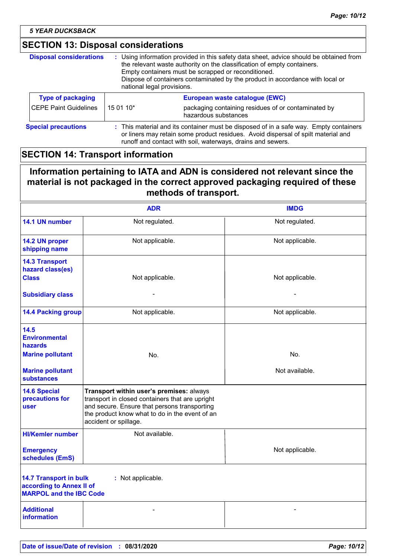*5 YEAR DUCKSBACK*

## **SECTION 13: Disposal considerations**

| <b>Disposal considerations</b> | : Using information provided in this safety data sheet, advice should be obtained from<br>the relevant waste authority on the classification of empty containers.<br>Empty containers must be scrapped or reconditioned.<br>Dispose of containers contaminated by the product in accordance with local or<br>national legal provisions. |                                                                             |  |
|--------------------------------|-----------------------------------------------------------------------------------------------------------------------------------------------------------------------------------------------------------------------------------------------------------------------------------------------------------------------------------------|-----------------------------------------------------------------------------|--|
| <b>Type of packaging</b>       |                                                                                                                                                                                                                                                                                                                                         | European waste catalogue (EWC)                                              |  |
| CEPE Paint Guidelines          | 15 01 10*                                                                                                                                                                                                                                                                                                                               | packaging containing residues of or contaminated by<br>hazardous substances |  |
| <b>Special precautions</b>     | : This material and its container must be disposed of in a safe way. Empty containers<br>or liners may retain some product residues. Avoid dispersal of spilt material and<br>runoff and contact with soil, waterways, drains and sewers.                                                                                               |                                                                             |  |

## **SECTION 14: Transport information**

## **Information pertaining to IATA and ADN is considered not relevant since the material is not packaged in the correct approved packaging required of these methods of transport.**

|                                                                                             | <b>ADR</b>                                                                                                                                                                                                             | <b>IMDG</b>     |
|---------------------------------------------------------------------------------------------|------------------------------------------------------------------------------------------------------------------------------------------------------------------------------------------------------------------------|-----------------|
| 14.1 UN number                                                                              | Not regulated.                                                                                                                                                                                                         | Not regulated.  |
| 14.2 UN proper<br>shipping name                                                             | Not applicable.                                                                                                                                                                                                        | Not applicable. |
| <b>14.3 Transport</b><br>hazard class(es)<br><b>Class</b>                                   | Not applicable.                                                                                                                                                                                                        | Not applicable. |
| <b>Subsidiary class</b>                                                                     |                                                                                                                                                                                                                        |                 |
| <b>14.4 Packing group</b>                                                                   | Not applicable.                                                                                                                                                                                                        | Not applicable. |
| 14.5<br><b>Environmental</b><br><b>hazards</b>                                              |                                                                                                                                                                                                                        |                 |
| <b>Marine pollutant</b>                                                                     | No.                                                                                                                                                                                                                    | No.             |
| <b>Marine pollutant</b><br>substances                                                       |                                                                                                                                                                                                                        | Not available.  |
| <b>14.6 Special</b><br>precautions for<br>user                                              | Transport within user's premises: always<br>transport in closed containers that are upright<br>and secure. Ensure that persons transporting<br>the product know what to do in the event of an<br>accident or spillage. |                 |
| <b>HI/Kemler number</b>                                                                     | Not available.                                                                                                                                                                                                         |                 |
| <b>Emergency</b><br>schedules (EmS)                                                         |                                                                                                                                                                                                                        | Not applicable. |
| <b>14.7 Transport in bulk</b><br>according to Annex II of<br><b>MARPOL and the IBC Code</b> | : Not applicable.                                                                                                                                                                                                      |                 |
| <b>Additional</b><br><b>information</b>                                                     |                                                                                                                                                                                                                        |                 |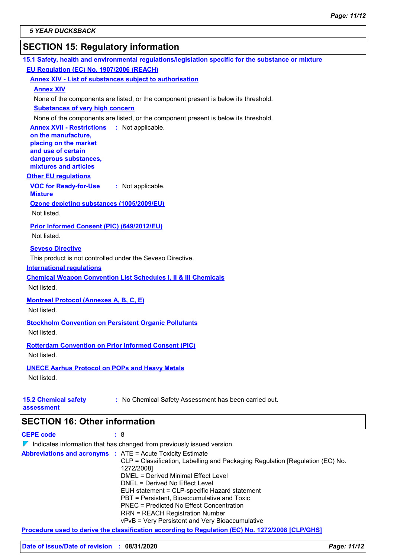## **SECTION 15: Regulatory information**

| 15.1 Safety, health and environmental regulations/legislation specific for the substance or mixture                                                                        |
|----------------------------------------------------------------------------------------------------------------------------------------------------------------------------|
| EU Regulation (EC) No. 1907/2006 (REACH)                                                                                                                                   |
| <b>Annex XIV - List of substances subject to authorisation</b>                                                                                                             |
| <b>Annex XIV</b>                                                                                                                                                           |
| None of the components are listed, or the component present is below its threshold.                                                                                        |
| <b>Substances of very high concern</b>                                                                                                                                     |
| None of the components are listed, or the component present is below its threshold.                                                                                        |
| <b>Annex XVII - Restrictions : Not applicable.</b><br>on the manufacture,<br>placing on the market<br>and use of certain<br>dangerous substances,<br>mixtures and articles |
| <b>Other EU regulations</b>                                                                                                                                                |
| <b>VOC for Ready-for-Use</b><br>: Not applicable.<br><b>Mixture</b>                                                                                                        |
| Ozone depleting substances (1005/2009/EU)                                                                                                                                  |
| Not listed.                                                                                                                                                                |
| Prior Informed Consent (PIC) (649/2012/EU)                                                                                                                                 |
| Not listed.                                                                                                                                                                |
| <b>Seveso Directive</b>                                                                                                                                                    |
| This product is not controlled under the Seveso Directive.                                                                                                                 |
| <b>International requlations</b>                                                                                                                                           |
| <b>Chemical Weapon Convention List Schedules I, II &amp; III Chemicals</b>                                                                                                 |
| Not listed.                                                                                                                                                                |
|                                                                                                                                                                            |
| <b>Montreal Protocol (Annexes A, B, C, E)</b><br>Not listed.                                                                                                               |
|                                                                                                                                                                            |
| <b>Stockholm Convention on Persistent Organic Pollutants</b>                                                                                                               |
| Not listed.                                                                                                                                                                |
| <b>Rotterdam Convention on Prior Informed Consent (PIC)</b>                                                                                                                |
| Not listed.                                                                                                                                                                |
| <b>UNECE Aarhus Protocol on POPs and Heavy Metals</b>                                                                                                                      |
| Not listed.                                                                                                                                                                |
|                                                                                                                                                                            |
| : No Chemical Safety Assessment has been carried out.<br><b>15.2 Chemical safety</b><br>assessment                                                                         |
| <b>SECTION 16: Other information</b>                                                                                                                                       |
| <b>CEPE code</b><br>: 8                                                                                                                                                    |
| $\nabla$ Indicates information that has changed from previously issued version.                                                                                            |
| <b>Abbreviations and acronyms : ATE = Acute Toxicity Estimate</b>                                                                                                          |
| CLP = Classification, Labelling and Packaging Regulation [Regulation (EC) No.<br>1272/2008]                                                                                |

DMEL = Derived Minimal Effect Level DNEL = Derived No Effect Level

**Procedure used to derive the classification according to Regulation (EC) No. 1272/2008 [CLP/GHS]**

EUH statement = CLP-specific Hazard statement PBT = Persistent, Bioaccumulative and Toxic PNEC = Predicted No Effect Concentration RRN = REACH Registration Number

vPvB = Very Persistent and Very Bioaccumulative